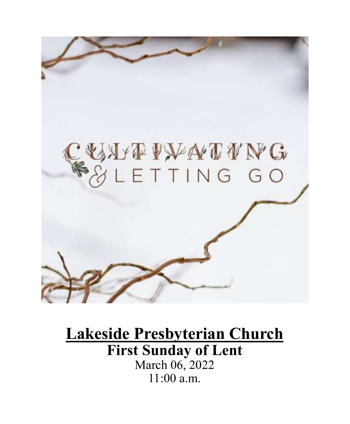

# **Lakeside Presbyterian Church First Sunday of Lent** March 06, 2022 11:00 a.m.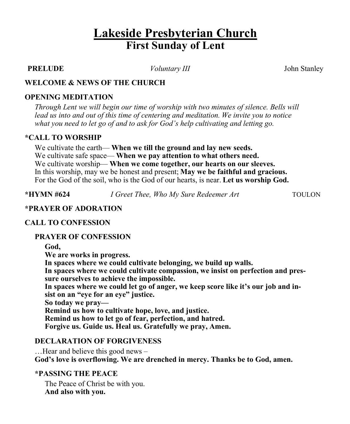## **Lakeside Presbyterian Church First Sunday of Lent**

**PRELUDE** *Voluntary III* John Stanley

#### **WELCOME & NEWS OF THE CHURCH**

### **OPENING MEDITATION**

*Through Lent we will begin our time of worship with two minutes of silence. Bells will lead us into and out of this time of centering and meditation. We invite you to notice what you need to let go of and to ask for God's help cultivating and letting go.*

#### **\*CALL TO WORSHIP**

We cultivate the earth— **When we till the ground and lay new seeds.**  We cultivate safe space— **When we pay attention to what others need.**  We cultivate worship— **When we come together, our hearts on our sleeves.**  In this worship, may we be honest and present; **May we be faithful and gracious.**  For the God of the soil, who is the God of our hearts, is near. **Let us worship God.** 

**\*HYMN #624** *I Greet Thee, Who My Sure Redeemer Art* TOULON

#### **\*PRAYER OF ADORATION**

#### **CALL TO CONFESSION**

#### **PRAYER OF CONFESSION**

**God, We are works in progress. In spaces where we could cultivate belonging, we build up walls. In spaces where we could cultivate compassion, we insist on perfection and pressure ourselves to achieve the impossible.**  In spaces where we could let go of anger, we keep score like it's our job and in**sist on an "eye for an eye" justice. So today we pray— Remind us how to cultivate hope, love, and justice. Remind us how to let go of fear, perfection, and hatred. Forgive us. Guide us. Heal us. Gratefully we pray, Amen.**

### **DECLARATION OF FORGIVENESS**

…Hear and believe this good news – **God's love is overflowing. We are drenched in mercy. Thanks be to God, amen.**

#### **\*PASSING THE PEACE**

The Peace of Christ be with you. **And also with you.**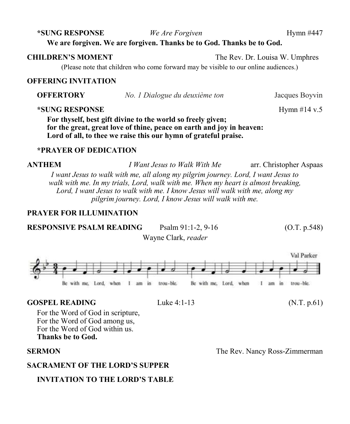### **We are forgiven. We are forgiven. Thanks be to God. Thanks be to God.**

(Please note that children who come forward may be visible to our online audiences.)

#### **OFFERING INVITATION**

**OFFERTORY** *No. 1 Dialogue du deuxième ton* Jacques Boyvin

#### **\*SUNG RESPONSE** Hymn #14 v.5

**For thyself, best gift divine to the world so freely given; for the great, great love of thine, peace on earth and joy in heaven: Lord of all, to thee we raise this our hymn of grateful praise.**

#### **\*PRAYER OF DEDICATION**

**ANTHEM** *I Want Jesus to Walk With Me* arr. Christopher Aspaas *I want Jesus to walk with me, all along my pilgrim journey. Lord, I want Jesus to walk with me. In my trials, Lord, walk with me. When my heart is almost breaking, Lord, I want Jesus to walk with me. I know Jesus will walk with me, along my pilgrim journey. Lord, I know Jesus will walk with me.*

### **PRAYER FOR ILLUMINATION**

**RESPONSIVE PSALM READING** Psalm 91:1-2, 9-16 (O.T. p.548)

Wayne Clark, *reader*



#### **GOSPEL READING** Luke 4:1-13 (N.T. p.61)

For the Word of God in scripture, For the Word of God among us, For the Word of God within us. **Thanks be to God.**

#### **SACRAMENT OF THE LORD'S SUPPER**

### **INVITATION TO THE LORD'S TABLE**

**SERMON** The Rev. Nancy Ross-Zimmerman

**\*SUNG RESPONSE** *We Are Forgiven* Hymn #447

**CHILDREN'S MOMENT** The Rev. Dr. Louisa W. Umphres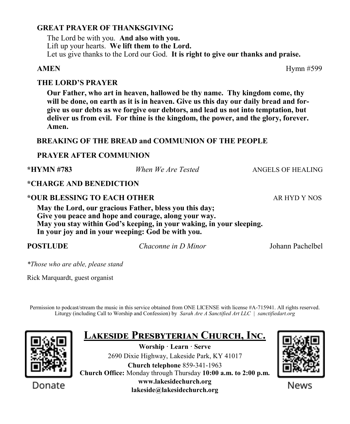### **GREAT PRAYER OF THANKSGIVING**

The Lord be with you. **And also with you.** Lift up your hearts. **We lift them to the Lord.** Let us give thanks to the Lord our God. **It is right to give our thanks and praise.**

#### **THE LORD'S PRAYER**

**Our Father, who art in heaven, hallowed be thy name. Thy kingdom come, thy will be done, on earth as it is in heaven. Give us this day our daily bread and forgive us our debts as we forgive our debtors, and lead us not into temptation, but deliver us from evil. For thine is the kingdom, the power, and the glory, forever. Amen.**

#### **BREAKING OF THE BREAD and COMMUNION OF THE PEOPLE**

### **PRAYER AFTER COMMUNION**

| *HYMN #783                  | When We Are Tested                                                                                                                                                                                                                          | ANGELS OF HEALING |
|-----------------------------|---------------------------------------------------------------------------------------------------------------------------------------------------------------------------------------------------------------------------------------------|-------------------|
| *CHARGE AND BENEDICTION     |                                                                                                                                                                                                                                             |                   |
| *OUR BLESSING TO EACH OTHER |                                                                                                                                                                                                                                             | AR HYD Y NOS      |
|                             | May the Lord, our gracious Father, bless you this day;<br>Give you peace and hope and courage, along your way.<br>May you stay within God's keeping, in your waking, in your sleeping.<br>In your joy and in your weeping: God be with you. |                   |
| POSTLUDE                    | Chaconne in D Minor                                                                                                                                                                                                                         | Johann Pachelbel  |

*\*Those who are able, please stand*

Rick Marquardt, guest organist

Permission to podcast/stream the music in this service obtained from ONE LICENSE with license #A-715941. All rights reserved. Liturgy (including Call to Worship and Confession) by *Sarah Are A Sanctified Art LLC | sanctifiedart.org*



|--|

**Worship · Learn · Serve** 2690 Dixie Highway, Lakeside Park, KY 41017 **Church telephone** 859-341-1963 **Church Office:** Monday through Thursday **10:00 a.m. to 2:00 p.m. www.lakesidechurch.org lakeside@lakesidechurch.org**



News

**AMEN** Hymn #599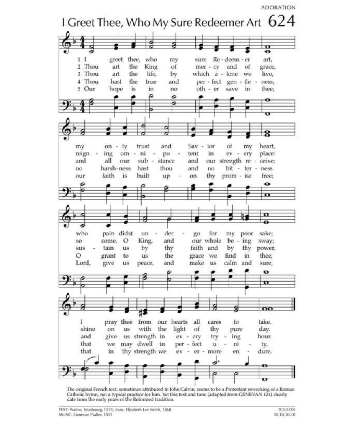

The original French text, sometimes attributed to John Calvin, seems to be a Protestant reworking of a Roman Catholic hymn, not a typical practice for him. Yet this text and tune (adapted from GENEVAN 124) clearly date from the early years of the Reformed tradition.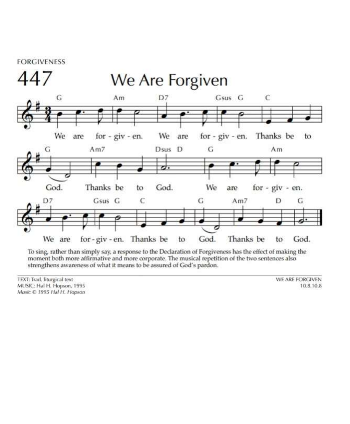

To sing, rather than simply say, a response to the Declaration of Forgiveness has the effect of making the moment both more affirmative and more corporate. The musical repetition of the two sentences also strengthens awareness of what it means to be assured of God's pardon.

TEXT: Trad, liturgical text MUSIC: Hal H. Hopson, 1995 Music © 1995 Hal H. Hopson WE ARE FORGIVEN 10.8.10.8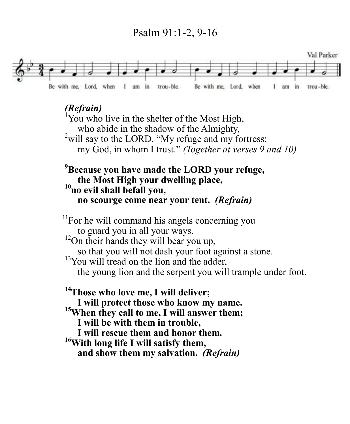## Psalm 91:1-2, 9-16



## *(Refrain)*

You who live in the shelter of the Most High, who abide in the shadow of the Almighty,  $2$ will say to the LORD, "My refuge and my fortress; my God, in whom I trust." *(Together at verses 9 and 10)*

## **<sup>9</sup>Because you have made the LORD your refuge, the Most High your dwelling place, <sup>10</sup>no evil shall befall you, no scourge come near your tent.** *(Refrain)*

 $11$ For he will command his angels concerning you to guard you in all your ways.  $12$ On their hands they will bear you up, so that you will not dash your foot against a stone.  $13$ You will tread on the lion and the adder, the young lion and the serpent you will trample under foot. **<sup>14</sup>Those who love me, I will deliver;**

**I will protect those who know my name. <sup>15</sup>When they call to me, I will answer them; I will be with them in trouble, I will rescue them and honor them. <sup>16</sup>With long life I will satisfy them, and show them my salvation.** *(Refrain)*